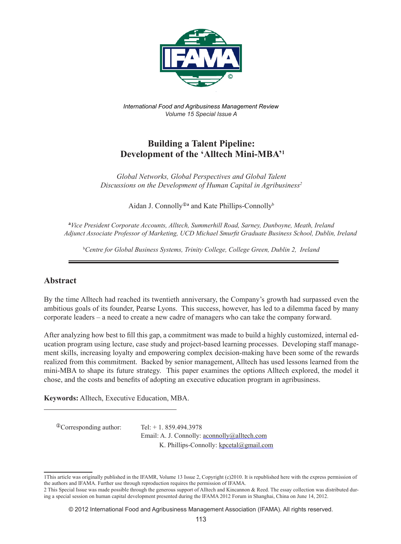

*International Food and Agribusiness Management Review Volume 15 Special Issue A*

# **Building a Talent Pipeline: Development of the 'Alltech Mini-MBA'1**

*Global Networks, Global Perspectives and Global Talent Discussions on the Development of Human Capital in Agribusiness2*

Aidan J. Connolly<sup>®</sup> and Kate Phillips-Connolly<sup>b</sup>

**a** *Vice President Corporate Accounts, Alltech, Summerhill Road, Sarney, Dunboyne, Meath, Ireland Adjunct Associate Professor of Marketing, UCD Michael Smurfit Graduate Business School, Dublin, Ireland*

b *Centre for Global Business Systems, Trinity College, College Green, Dublin 2, Ireland*

## **Abstract**

By the time Alltech had reached its twentieth anniversary, the Company's growth had surpassed even the ambitious goals of its founder, Pearse Lyons. This success, however, has led to a dilemma faced by many corporate leaders – a need to create a new cadre of managers who can take the company forward.

After analyzing how best to fill this gap, a commitment was made to build a highly customized, internal education program using lecture, case study and project-based learning processes. Developing staff management skills, increasing loyalty and empowering complex decision-making have been some of the rewards realized from this commitment. Backed by senior management, Alltech has used lessons learned from the mini-MBA to shape its future strategy. This paper examines the options Alltech explored, the model it chose, and the costs and benefits of adopting an executive education program in agribusiness.

**Keywords:** Alltech, Executive Education, MBA.

 $^{\circ}$ Corresponding author: Tel: + 1. 859.494.3978

Email: A. J. Connolly: aconnolly@alltech.com K. Phillips-Connolly: kpcetal@gmail.com

<sup>1</sup>This article was originally published in the IFAMR, Volume 13 Issue 2, Copyright (c)2010. It is republished here with the express permission of the authors and IFAMA. Further use through reproduction requires the permission of IFAMA.

<sup>2</sup> This Special Issue was made possible through the generous support of Alltech and Kincannon & Reed. The essay collection was distributed during a special session on human capital development presented during the IFAMA 2012 Forum in Shanghai, China on June 14, 2012.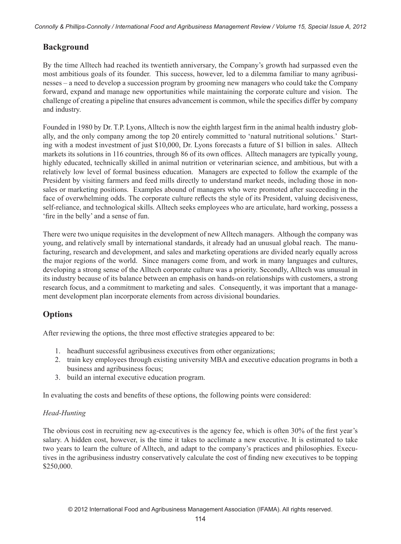*Connolly & Phillips-Connolly / International Food and Agribusiness Management Review / Volume 15, Special Issue A, 2012*

# **Background**

By the time Alltech had reached its twentieth anniversary, the Company's growth had surpassed even the most ambitious goals of its founder. This success, however, led to a dilemma familiar to many agribusinesses – a need to develop a succession program by grooming new managers who could take the Company forward, expand and manage new opportunities while maintaining the corporate culture and vision. The challenge of creating a pipeline that ensures advancement is common, while the specifics differ by company and industry.

Founded in 1980 by Dr. T.P. Lyons, Alltech is now the eighth largest firm in the animal health industry globally, and the only company among the top 20 entirely committed to 'natural nutritional solutions.' Starting with a modest investment of just \$10,000, Dr. Lyons forecasts a future of \$1 billion in sales. Alltech markets its solutions in 116 countries, through 86 of its own offices. Alltech managers are typically young, highly educated, technically skilled in animal nutrition or veterinarian science, and ambitious, but with a relatively low level of formal business education. Managers are expected to follow the example of the President by visiting farmers and feed mills directly to understand market needs, including those in nonsales or marketing positions. Examples abound of managers who were promoted after succeeding in the face of overwhelming odds. The corporate culture reflects the style of its President, valuing decisiveness, self-reliance, and technological skills. Alltech seeks employees who are articulate, hard working, possess a 'fire in the belly' and a sense of fun.

There were two unique requisites in the development of new Alltech managers. Although the company was young, and relatively small by international standards, it already had an unusual global reach. The manufacturing, research and development, and sales and marketing operations are divided nearly equally across the major regions of the world. Since managers come from, and work in many languages and cultures, developing a strong sense of the Alltech corporate culture was a priority. Secondly, Alltech was unusual in its industry because of its balance between an emphasis on hands-on relationships with customers, a strong research focus, and a commitment to marketing and sales. Consequently, it was important that a management development plan incorporate elements from across divisional boundaries.

# **Options**

After reviewing the options, the three most effective strategies appeared to be:

- 1. headhunt successful agribusiness executives from other organizations;
- 2. train key employees through existing university MBA and executive education programs in both a business and agribusiness focus;
- 3. build an internal executive education program.

In evaluating the costs and benefits of these options, the following points were considered:

## *Head-Hunting*

The obvious cost in recruiting new ag-executives is the agency fee, which is often 30% of the first year's salary. A hidden cost, however, is the time it takes to acclimate a new executive. It is estimated to take two years to learn the culture of Alltech, and adapt to the company's practices and philosophies. Executives in the agribusiness industry conservatively calculate the cost of finding new executives to be topping \$250,000.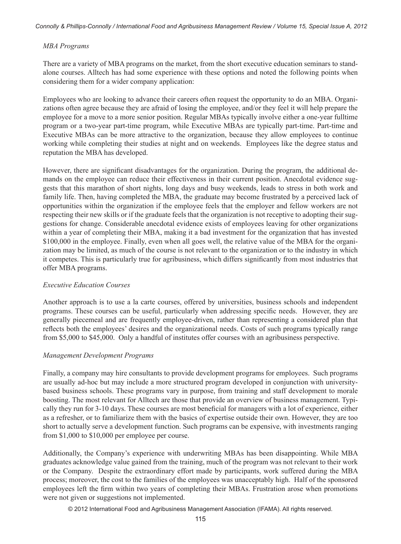#### *MBA Programs*

There are a variety of MBA programs on the market, from the short executive education seminars to standalone courses. Alltech has had some experience with these options and noted the following points when considering them for a wider company application:

Employees who are looking to advance their careers often request the opportunity to do an MBA. Organizations often agree because they are afraid of losing the employee, and/or they feel it will help prepare the employee for a move to a more senior position. Regular MBAs typically involve either a one-year fulltime program or a two-year part-time program, while Executive MBAs are typically part-time. Part-time and Executive MBAs can be more attractive to the organization, because they allow employees to continue working while completing their studies at night and on weekends. Employees like the degree status and reputation the MBA has developed.

However, there are significant disadvantages for the organization. During the program, the additional demands on the employee can reduce their effectiveness in their current position. Anecdotal evidence suggests that this marathon of short nights, long days and busy weekends, leads to stress in both work and family life. Then, having completed the MBA, the graduate may become frustrated by a perceived lack of opportunities within the organization if the employee feels that the employer and fellow workers are not respecting their new skills or if the graduate feels that the organization is not receptive to adopting their suggestions for change. Considerable anecdotal evidence exists of employees leaving for other organizations within a year of completing their MBA, making it a bad investment for the organization that has invested \$100,000 in the employee. Finally, even when all goes well, the relative value of the MBA for the organization may be limited, as much of the course is not relevant to the organization or to the industry in which it competes. This is particularly true for agribusiness, which differs significantly from most industries that offer MBA programs.

#### *Executive Education Courses*

Another approach is to use a la carte courses, offered by universities, business schools and independent programs. These courses can be useful, particularly when addressing specific needs. However, they are generally piecemeal and are frequently employee-driven, rather than representing a considered plan that reflects both the employees' desires and the organizational needs. Costs of such programs typically range from \$5,000 to \$45,000. Only a handful of institutes offer courses with an agribusiness perspective.

#### *Management Development Programs*

Finally, a company may hire consultants to provide development programs for employees. Such programs are usually ad-hoc but may include a more structured program developed in conjunction with universitybased business schools. These programs vary in purpose, from training and staff development to morale boosting. The most relevant for Alltech are those that provide an overview of business management. Typically they run for 3-10 days. These courses are most beneficial for managers with a lot of experience, either as a refresher, or to familiarize them with the basics of expertise outside their own. However, they are too short to actually serve a development function. Such programs can be expensive, with investments ranging from \$1,000 to \$10,000 per employee per course.

Additionally, the Company's experience with underwriting MBAs has been disappointing. While MBA graduates acknowledge value gained from the training, much of the program was not relevant to their work or the Company. Despite the extraordinary effort made by participants, work suffered during the MBA process; moreover, the cost to the families of the employees was unacceptably high. Half of the sponsored employees left the firm within two years of completing their MBAs. Frustration arose when promotions were not given or suggestions not implemented.

© 2012 International Food and Agribusiness Management Association (IFAMA). All rights reserved.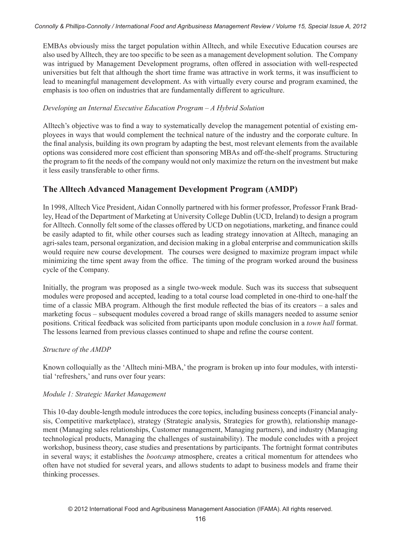EMBAs obviously miss the target population within Alltech, and while Executive Education courses are also used by Alltech, they are too specific to be seen as a management development solution. The Company was intrigued by Management Development programs, often offered in association with well-respected universities but felt that although the short time frame was attractive in work terms, it was insufficient to lead to meaningful management development. As with virtually every course and program examined, the emphasis is too often on industries that are fundamentally different to agriculture.

### *Developing an Internal Executive Education Program – A Hybrid Solution*

Alltech's objective was to find a way to systematically develop the management potential of existing employees in ways that would complement the technical nature of the industry and the corporate culture. In the final analysis, building its own program by adapting the best, most relevant elements from the available options was considered more cost efficient than sponsoring MBAs and off-the-shelf programs. Structuring the program to fit the needs of the company would not only maximize the return on the investment but make it less easily transferable to other firms.

## **The Alltech Advanced Management Development Program (AMDP)**

In 1998, Alltech Vice President, Aidan Connolly partnered with his former professor, Professor Frank Bradley, Head of the Department of Marketing at University College Dublin (UCD, Ireland) to design a program for Alltech. Connolly felt some of the classes offered by UCD on negotiations, marketing, and finance could be easily adapted to fit, while other courses such as leading strategy innovation at Alltech, managing an agri-sales team, personal organization, and decision making in a global enterprise and communication skills would require new course development. The courses were designed to maximize program impact while minimizing the time spent away from the office. The timing of the program worked around the business cycle of the Company.

Initially, the program was proposed as a single two-week module. Such was its success that subsequent modules were proposed and accepted, leading to a total course load completed in one-third to one-half the time of a classic MBA program. Although the first module reflected the bias of its creators – a sales and marketing focus – subsequent modules covered a broad range of skills managers needed to assume senior positions. Critical feedback was solicited from participants upon module conclusion in a *town hall* format. The lessons learned from previous classes continued to shape and refine the course content.

## *Structure of the AMDP*

Known colloquially as the 'Alltech mini-MBA,' the program is broken up into four modules, with interstitial 'refreshers,' and runs over four years:

## *Module 1: Strategic Market Management*

This 10-day double-length module introduces the core topics, including business concepts (Financial analysis, Competitive marketplace), strategy (Strategic analysis, Strategies for growth), relationship management (Managing sales relationships, Customer management, Managing partners), and industry (Managing technological products, Managing the challenges of sustainability). The module concludes with a project workshop, business theory, case studies and presentations by participants. The fortnight format contributes in several ways; it establishes the *bootcamp* atmosphere, creates a critical momentum for attendees who often have not studied for several years, and allows students to adapt to business models and frame their thinking processes.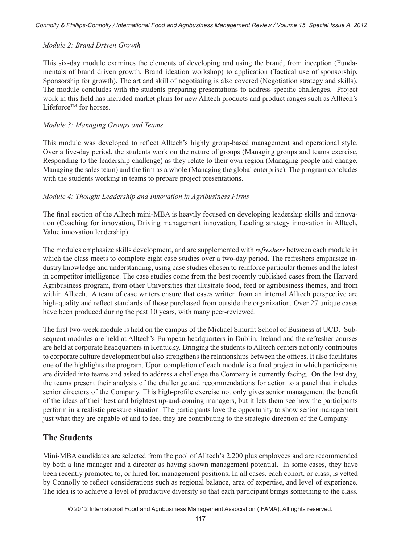#### *Module 2: Brand Driven Growth*

This six-day module examines the elements of developing and using the brand, from inception (Fundamentals of brand driven growth, Brand ideation workshop) to application (Tactical use of sponsorship, Sponsorship for growth). The art and skill of negotiating is also covered (Negotiation strategy and skills). The module concludes with the students preparing presentations to address specific challenges. Project work in this field has included market plans for new Alltech products and product ranges such as Alltech's Lifeforce<sup>™</sup> for horses.

#### *Module 3: Managing Groups and Teams*

This module was developed to reflect Alltech's highly group-based management and operational style. Over a five-day period, the students work on the nature of groups (Managing groups and teams exercise, Responding to the leadership challenge) as they relate to their own region (Managing people and change, Managing the sales team) and the firm as a whole (Managing the global enterprise). The program concludes with the students working in teams to prepare project presentations.

#### *Module 4: Thought Leadership and Innovation in Agribusiness Firms*

The final section of the Alltech mini-MBA is heavily focused on developing leadership skills and innovation (Coaching for innovation, Driving management innovation, Leading strategy innovation in Alltech, Value innovation leadership).

The modules emphasize skills development, and are supplemented with *refreshers* between each module in which the class meets to complete eight case studies over a two-day period. The refreshers emphasize industry knowledge and understanding, using case studies chosen to reinforce particular themes and the latest in competitor intelligence. The case studies come from the best recently published cases from the Harvard Agribusiness program, from other Universities that illustrate food, feed or agribusiness themes, and from within Alltech. A team of case writers ensure that cases written from an internal Alltech perspective are high-quality and reflect standards of those purchased from outside the organization. Over 27 unique cases have been produced during the past 10 years, with many peer-reviewed.

The first two-week module is held on the campus of the Michael Smurfit School of Business at UCD. Subsequent modules are held at Alltech's European headquarters in Dublin, Ireland and the refresher courses are held at corporate headquarters in Kentucky. Bringing the students to Alltech centers not only contributes to corporate culture development but also strengthens the relationships between the offices. It also facilitates one of the highlights the program. Upon completion of each module is a final project in which participants are divided into teams and asked to address a challenge the Company is currently facing. On the last day, the teams present their analysis of the challenge and recommendations for action to a panel that includes senior directors of the Company. This high-profile exercise not only gives senior management the benefit of the ideas of their best and brightest up-and-coming managers, but it lets them see how the participants perform in a realistic pressure situation. The participants love the opportunity to show senior management just what they are capable of and to feel they are contributing to the strategic direction of the Company.

## **The Students**

Mini-MBA candidates are selected from the pool of Alltech's 2,200 plus employees and are recommended by both a line manager and a director as having shown management potential. In some cases, they have been recently promoted to, or hired for, management positions. In all cases, each cohort, or class, is vetted by Connolly to reflect considerations such as regional balance, area of expertise, and level of experience. The idea is to achieve a level of productive diversity so that each participant brings something to the class.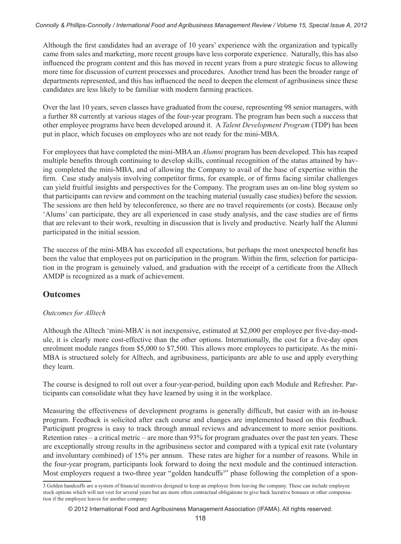Although the first candidates had an average of 10 years' experience with the organization and typically came from sales and marketing, more recent groups have less corporate experience. Naturally, this has also influenced the program content and this has moved in recent years from a pure strategic focus to allowing more time for discussion of current processes and procedures. Another trend has been the broader range of departments represented, and this has influenced the need to deepen the element of agribusiness since these candidates are less likely to be familiar with modern farming practices.

Over the last 10 years, seven classes have graduated from the course, representing 98 senior managers, with a further 88 currently at various stages of the four-year program. The program has been such a success that other employee programs have been developed around it. A *Talent Development Program* (TDP) has been put in place, which focuses on employees who are not ready for the mini-MBA.

For employees that have completed the mini-MBA an *Alumni* program has been developed. This has reaped multiple benefits through continuing to develop skills, continual recognition of the status attained by having completed the mini-MBA, and of allowing the Company to avail of the base of expertise within the firm. Case study analysis involving competitor firms, for example, or of firms facing similar challenges can yield fruitful insights and perspectives for the Company. The program uses an on-line blog system so that participants can review and comment on the teaching material (usually case studies) before the session. The sessions are then held by teleconference, so there are no travel requirements (or costs). Because only 'Alums' can participate, they are all experienced in case study analysis, and the case studies are of firms that are relevant to their work, resulting in discussion that is lively and productive. Nearly half the Alumni participated in the initial session.

The success of the mini-MBA has exceeded all expectations, but perhaps the most unexpected benefit has been the value that employees put on participation in the program. Within the firm, selection for participation in the program is genuinely valued, and graduation with the receipt of a certificate from the Alltech AMDP is recognized as a mark of achievement.

## **Outcomes**

## *Outcomes for Alltech*

Although the Alltech 'mini-MBA' is not inexpensive, estimated at \$2,000 per employee per five-day-module, it is clearly more cost-effective than the other options. Internationally, the cost for a five-day open enrolment module ranges from \$5,000 to \$7,500. This allows more employees to participate. As the mini-MBA is structured solely for Alltech, and agribusiness, participants are able to use and apply everything they learn.

The course is designed to roll out over a four-year-period, building upon each Module and Refresher. Participants can consolidate what they have learned by using it in the workplace.

Measuring the effectiveness of development programs is generally difficult, but easier with an in-house program. Feedback is solicited after each course and changes are implemented based on this feedback. Participant progress is easy to track through annual reviews and advancement to more senior positions. Retention rates – a critical metric – are more than 93% for program graduates over the past ten years. These are exceptionally strong results in the agribusiness sector and compared with a typical exit rate (voluntary and involuntary combined) of 15% per annum. These rates are higher for a number of reasons. While in the four-year program, participants look forward to doing the next module and the continued interaction. Most employers request a two-three year "golden handcuffs<sup>3</sup>" phase following the completion of a spon-

<sup>3</sup> Golden handcuffs are a system of financial incentives designed to keep an employee from leaving the company. These can include employee stock options which will not vest for several years but are more often contractual obligations to give back lucrative bonuses or other compensation if the employee leaves for another company.

<sup>© 2012</sup> International Food and Agribusiness Management Association (IFAMA). All rights reserved.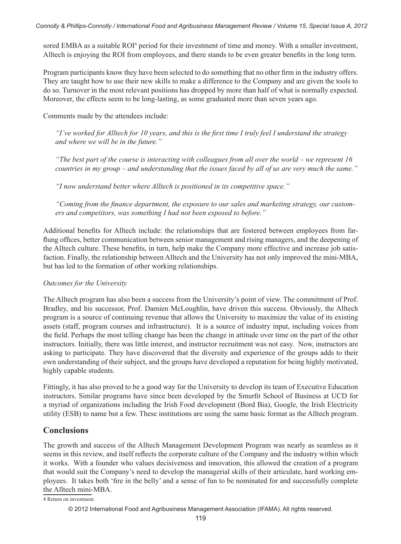sored EMBA as a suitable ROI<sup>4</sup> period for their investment of time and money. With a smaller investment, Alltech is enjoying the ROI from employees, and there stands to be even greater benefits in the long term.

Program participants know they have been selected to do something that no other firm in the industry offers. They are taught how to use their new skills to make a difference to the Company and are given the tools to do so. Turnover in the most relevant positions has dropped by more than half of what is normally expected. Moreover, the effects seem to be long-lasting, as some graduated more than seven years ago.

Comments made by the attendees include:

*"I've worked for Alltech for 10 years, and this is the first time I truly feel I understand the strategy and where we will be in the future."*

*"The best part of the course is interacting with colleagues from all over the world – we represent 16 countries in my group – and understanding that the issues faced by all of us are very much the same."*

*"I now understand better where Alltech is positioned in its competitive space."*

*"Coming from the finance department, the exposure to our sales and marketing strategy, our customers and competitors, was something I had not been exposed to before."*

Additional benefits for Alltech include: the relationships that are fostered between employees from farflung offices, better communication between senior management and rising managers, and the deepening of the Alltech culture. These benefits, in turn, help make the Company more effective and increase job satisfaction. Finally, the relationship between Alltech and the University has not only improved the mini-MBA, but has led to the formation of other working relationships.

#### *Outcomes for the University*

The Alltech program has also been a success from the University's point of view. The commitment of Prof. Bradley, and his successor, Prof. Damien McLoughlin, have driven this success. Obviously, the Alltech program is a source of continuing revenue that allows the University to maximize the value of its existing assets (staff, program courses and infrastructure). It is a source of industry input, including voices from the field. Perhaps the most telling change has been the change in attitude over time on the part of the other instructors. Initially, there was little interest, and instructor recruitment was not easy. Now, instructors are asking to participate. They have discovered that the diversity and experience of the groups adds to their own understanding of their subject, and the groups have developed a reputation for being highly motivated, highly capable students.

Fittingly, it has also proved to be a good way for the University to develop its team of Executive Education instructors. Similar programs have since been developed by the Smurfit School of Business at UCD for a myriad of organizations including the Irish Food development (Bord Bia), Google, the Irish Electricity utility (ESB) to name but a few. These institutions are using the same basic format as the Alltech program.

## **Conclusions**

The growth and success of the Alltech Management Development Program was nearly as seamless as it seems in this review, and itself reflects the corporate culture of the Company and the industry within which it works. With a founder who values decisiveness and innovation, this allowed the creation of a program that would suit the Company's need to develop the managerial skills of their articulate, hard working employees. It takes both 'fire in the belly' and a sense of fun to be nominated for and successfully complete the Alltech mini-MBA.

<sup>4</sup> Return on investment.

<sup>© 2012</sup> International Food and Agribusiness Management Association (IFAMA). All rights reserved.